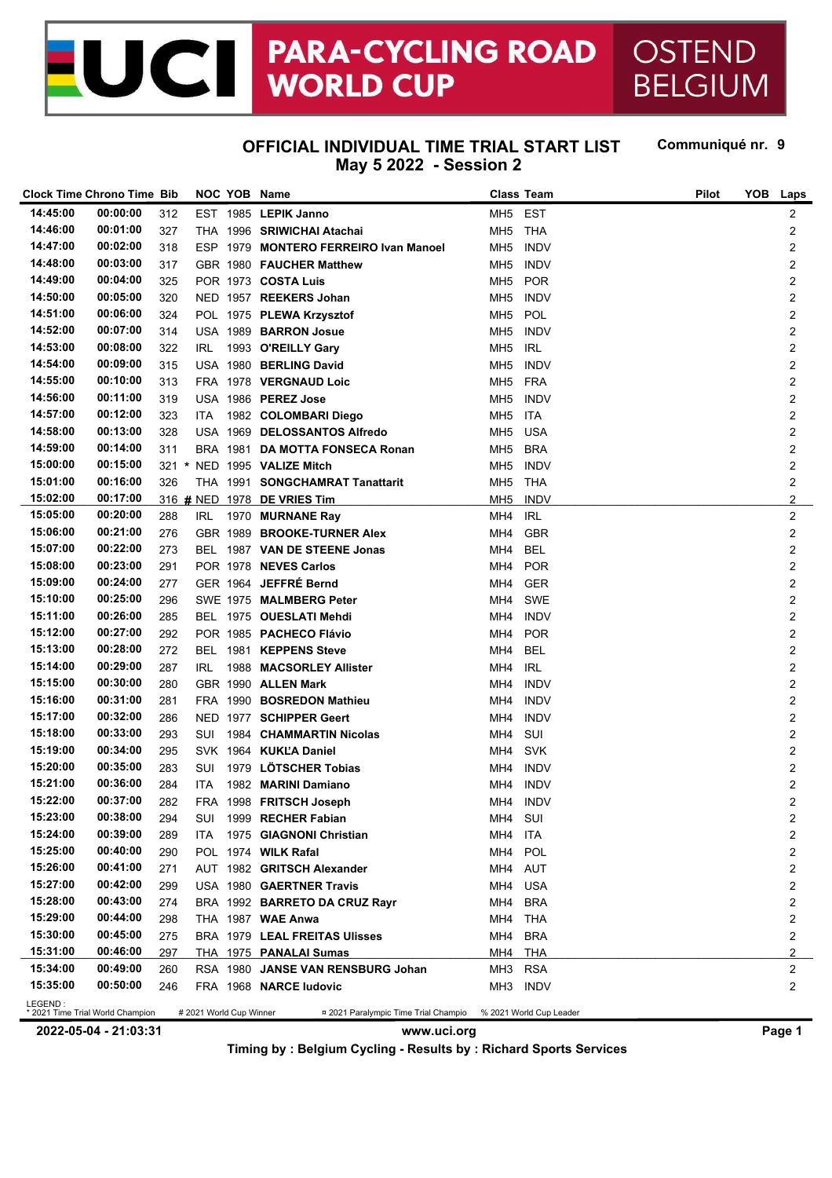#### **PARA-CYCLING ROAD** OSTEND JCI **WORLD CUP**

# **BELGIUM**

#### **OFFICIAL INDIVIDUAL TIME TRIAL START LIST Communiqué nr. May 5 2022 - Session 2**

Communiqué nr. 9

|          | <b>Clock Time Chrono Time Bib</b> |     |      | NOC YOB Name                          | <b>Class Team</b> |             | Pilot | <b>YOB</b><br><b>Laps</b> |
|----------|-----------------------------------|-----|------|---------------------------------------|-------------------|-------------|-------|---------------------------|
| 14:45:00 | 00:00:00                          | 312 |      | EST 1985 LEPIK Janno                  | MH5 EST           |             |       | 2                         |
| 14:46:00 | 00:01:00                          | 327 |      | THA 1996 SRIWICHAI Atachai            | MH <sub>5</sub>   | THA         |       | 2                         |
| 14:47:00 | 00:02:00                          | 318 |      | ESP 1979 MONTERO FERREIRO Ivan Manoel | MH <sub>5</sub>   | <b>INDV</b> |       | 2                         |
| 14:48:00 | 00:03:00                          | 317 |      | GBR 1980 FAUCHER Matthew              | MH <sub>5</sub>   | <b>INDV</b> |       | 2                         |
| 14:49:00 | 00:04:00                          | 325 |      | POR 1973 COSTA Luis                   | MH <sub>5</sub>   | <b>POR</b>  |       | 2                         |
| 14:50:00 | 00:05:00                          | 320 |      | NED 1957 REEKERS Johan                | MH <sub>5</sub>   | <b>INDV</b> |       | 2                         |
| 14:51:00 | 00:06:00                          | 324 |      | POL 1975 PLEWA Krzysztof              | MH <sub>5</sub>   | POL         |       | 2                         |
| 14:52:00 | 00:07:00                          | 314 |      | USA 1989 BARRON Josue                 | MH <sub>5</sub>   | <b>INDV</b> |       | 2                         |
| 14:53:00 | 00:08:00                          | 322 | IRL. | 1993 O'REILLY Gary                    | MH <sub>5</sub>   | <b>IRL</b>  |       | 2                         |
| 14:54:00 | 00:09:00                          | 315 |      | USA 1980 BERLING David                | MH <sub>5</sub>   | <b>INDV</b> |       | 2                         |
| 14:55:00 | 00:10:00                          | 313 |      | FRA 1978 VERGNAUD Loic                | MH <sub>5</sub>   | <b>FRA</b>  |       | 2                         |
| 14:56:00 | 00:11:00                          | 319 |      | USA 1986 PEREZ Jose                   | MH <sub>5</sub>   | <b>INDV</b> |       | 2                         |
| 14:57:00 | 00:12:00                          | 323 |      | 1982 COLOMBARI Diego                  | MH <sub>5</sub>   | ITA         |       | 2                         |
| 14:58:00 | 00:13:00                          |     | ITA  |                                       |                   | USA         |       |                           |
| 14:59:00 | 00:14:00                          | 328 |      | USA 1969 DELOSSANTOS Alfredo          | MH <sub>5</sub>   |             |       | 2                         |
| 15:00:00 |                                   | 311 |      | BRA 1981 DA MOTTA FONSECA Ronan       | MH <sub>5</sub>   | <b>BRA</b>  |       | 2                         |
|          | 00:15:00                          |     |      | 321 * NED 1995 VALIZE Mitch           | MH <sub>5</sub>   | <b>INDV</b> |       | 2                         |
| 15:01:00 | 00:16:00                          | 326 |      | THA 1991 SONGCHAMRAT Tanattarit       | MH <sub>5</sub>   | THA         |       | 2                         |
| 15:02:00 | 00:17:00                          |     |      | 316 # NED 1978 DE VRIES Tim           | MH <sub>5</sub>   | <b>INDV</b> |       | $\overline{a}$            |
| 15:05:00 | 00:20:00                          | 288 | IRL  | 1970 MURNANE Ray                      | MH4               | <b>IRL</b>  |       | 2                         |
| 15:06:00 | 00:21:00                          | 276 |      | GBR 1989 BROOKE-TURNER Alex           | MH4               | <b>GBR</b>  |       | 2                         |
| 15:07:00 | 00:22:00                          | 273 |      | BEL 1987 VAN DE STEENE Jonas          | MH4               | <b>BEL</b>  |       | 2                         |
| 15:08:00 | 00:23:00                          | 291 |      | POR 1978 NEVES Carlos                 | MH4               | <b>POR</b>  |       | 2                         |
| 15:09:00 | 00:24:00                          | 277 |      | GER 1964 JEFFRÉ Bernd                 | MH4               | <b>GER</b>  |       | 2                         |
| 15:10:00 | 00:25:00                          | 296 |      | SWE 1975 MALMBERG Peter               | MH4               | SWE         |       | 2                         |
| 15:11:00 | 00:26:00                          | 285 |      | BEL 1975 OUESLATI Mehdi               | MH4               | <b>INDV</b> |       | 2                         |
| 15:12:00 | 00:27:00                          | 292 |      | POR 1985 PACHECO Flávio               | MH4               | <b>POR</b>  |       | 2                         |
| 15:13:00 | 00:28:00                          | 272 |      | BEL 1981 KEPPENS Steve                | MH4               | <b>BEL</b>  |       | 2                         |
| 15:14:00 | 00:29:00                          | 287 | IRL  | 1988 MACSORLEY Allister               | MH4               | <b>IRL</b>  |       | 2                         |
| 15:15:00 | 00:30:00                          | 280 |      | GBR 1990 ALLEN Mark                   | MH4               | <b>INDV</b> |       | 2                         |
| 15:16:00 | 00:31:00                          | 281 |      | FRA 1990 BOSREDON Mathieu             | MH4               | <b>INDV</b> |       | 2                         |
| 15:17:00 | 00:32:00                          | 286 |      | NED 1977 SCHIPPER Geert               | MH4               | <b>INDV</b> |       | 2                         |
| 15:18:00 | 00:33:00                          | 293 | SUI  | 1984 CHAMMARTIN Nicolas               | MH4               | SUI         |       | 2                         |
| 15:19:00 | 00:34:00                          | 295 |      | SVK 1964 KUKLA Daniel                 | MH4               | <b>SVK</b>  |       | 2                         |
| 15:20:00 | 00:35:00                          | 283 | SUI  | 1979 LÖTSCHER Tobias                  | MH4               | <b>INDV</b> |       | 2                         |
| 15:21:00 | 00:36:00                          | 284 | ITA  | 1982 MARINI Damiano                   | MH4               | <b>INDV</b> |       | 2                         |
| 15:22:00 | 00:37:00                          | 282 |      | FRA 1998 FRITSCH Joseph               | MH4               | INDV        |       | 2                         |
| 15:23:00 | 00:38:00                          | 294 |      | SUI 1999 RECHER Fabian                | MH4 SUI           |             |       | 2                         |
| 15:24:00 | 00:39:00                          | 289 |      | ITA 1975 GIAGNONI Christian           | MH4 ITA           |             |       | 2                         |
| 15:25:00 | 00:40:00                          | 290 |      | POL 1974 WILK Rafal                   | MH4 POL           |             |       | 2                         |
| 15:26:00 | 00:41:00                          | 271 |      | AUT 1982 GRITSCH Alexander            | MH4 AUT           |             |       | 2                         |
| 15:27:00 | 00:42:00                          | 299 |      |                                       |                   |             |       |                           |
| 15:28:00 | 00:43:00                          |     |      | USA 1980 GAERTNER Travis              | MH4 USA           |             |       | 2                         |
| 15:29:00 | 00:44:00                          | 274 |      | BRA 1992 BARRETO DA CRUZ Rayr         | MH4 BRA           |             |       | 2                         |
| 15:30:00 |                                   | 298 |      | THA 1987 WAE Anwa                     | MH4 THA           |             |       | 2                         |
| 15:31:00 | 00:45:00                          | 275 |      | BRA 1979 LEAL FREITAS Ulisses         | MH4 BRA           |             |       | 2                         |
|          | 00:46:00                          | 297 |      | THA 1975 PANALAI Sumas                | MH4 THA           |             |       | $\overline{2}$            |
| 15:34:00 | 00:49:00                          | 260 |      | RSA 1980 JANSE VAN RENSBURG Johan     | MH3 RSA           |             |       | 2                         |
| 15:35:00 | 00:50:00                          | 246 |      | FRA 1968 NARCE ludovic                | MH3 INDV          |             |       | 2                         |

**2022-05-04 - 21:03:31 www.uci.org Page 1 Timing by : Belgium Cycling - Results by : Richard Sports Services**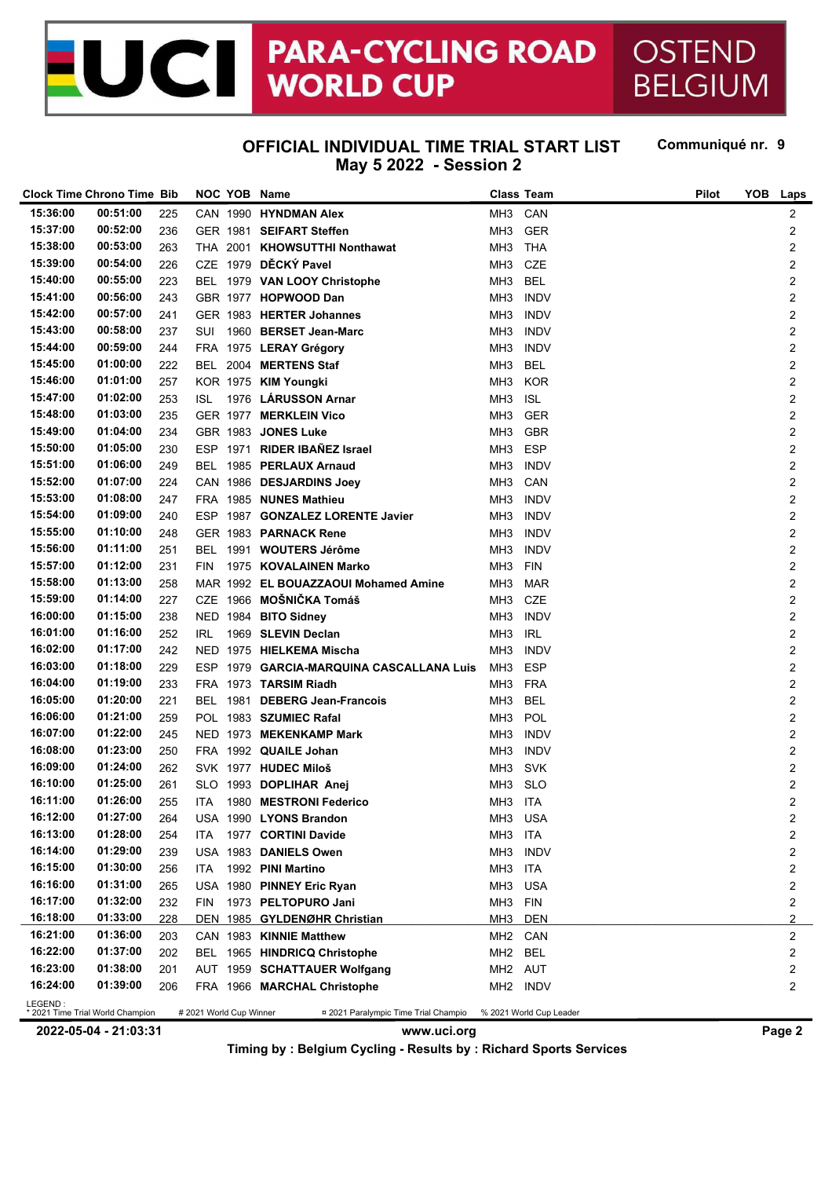### **PARA-CYCLING ROAD** OSTEND<br>WORLD CUP BELGIUM JCII

## **BELGIUM**

#### **OFFICIAL INDIVIDUAL TIME TRIAL START LIST May 5 2022 - Session 2**

Communiqué nr. 9

|                                      | <b>Clock Time Chrono Time Bib</b>            |     |                         |  | NOC YOB Name                             |                      | <b>Class Team</b>       | Pilot | <b>YOB</b> | <b>Laps</b>             |
|--------------------------------------|----------------------------------------------|-----|-------------------------|--|------------------------------------------|----------------------|-------------------------|-------|------------|-------------------------|
| 15:36:00                             | 00:51:00                                     | 225 |                         |  | CAN 1990 HYNDMAN Alex                    | MH3 CAN              |                         |       |            | 2                       |
| 15:37:00                             | 00:52:00                                     | 236 |                         |  | GER 1981 SEIFART Steffen                 | MH <sub>3</sub>      | GER                     |       |            | 2                       |
| 15:38:00                             | 00:53:00                                     | 263 |                         |  | THA 2001 KHOWSUTTHI Nonthawat            | MH3                  | THA                     |       |            | 2                       |
| 15:39:00                             | 00:54:00                                     | 226 |                         |  | CZE 1979 DĚCKÝ Pavel                     | MH <sub>3</sub>      | <b>CZE</b>              |       |            | 2                       |
| 15:40:00                             | 00:55:00                                     | 223 |                         |  | BEL 1979 VAN LOOY Christophe             | MH <sub>3</sub>      | <b>BEL</b>              |       |            | 2                       |
| 15:41:00                             | 00:56:00                                     | 243 |                         |  | GBR 1977 HOPWOOD Dan                     | MH <sub>3</sub>      | <b>INDV</b>             |       |            | 2                       |
| 15:42:00                             | 00:57:00                                     | 241 |                         |  | GER 1983 HERTER Johannes                 | MH <sub>3</sub>      | <b>INDV</b>             |       |            | 2                       |
| 15:43:00                             | 00:58:00                                     | 237 | SUI                     |  | 1960 BERSET Jean-Marc                    | MH <sub>3</sub>      | <b>INDV</b>             |       |            | 2                       |
| 15:44:00                             | 00:59:00                                     | 244 |                         |  | FRA 1975 LERAY Grégory                   | MH <sub>3</sub>      | <b>INDV</b>             |       |            | 2                       |
| 15:45:00                             | 01:00:00                                     | 222 |                         |  | BEL 2004 MERTENS Staf                    | MH <sub>3</sub>      | <b>BEL</b>              |       |            | 2                       |
| 15:46:00                             | 01:01:00                                     | 257 |                         |  | KOR 1975 KIM Youngki                     | MH <sub>3</sub>      | <b>KOR</b>              |       |            | 2                       |
| 15:47:00                             | 01:02:00                                     | 253 | ISL.                    |  | 1976 LÁRUSSON Arnar                      | MH <sub>3</sub>      | <b>ISL</b>              |       |            | 2                       |
| 15:48:00                             | 01:03:00                                     | 235 |                         |  | GER 1977 MERKLEIN Vico                   | MH <sub>3</sub>      | <b>GER</b>              |       |            | 2                       |
| 15:49:00                             | 01:04:00                                     | 234 |                         |  | GBR 1983 JONES Luke                      | MH <sub>3</sub>      | <b>GBR</b>              |       |            | 2                       |
| 15:50:00                             | 01:05:00                                     | 230 |                         |  | ESP 1971 RIDER IBAÑEZ Israel             | MH <sub>3</sub>      | <b>ESP</b>              |       |            | 2                       |
| 15:51:00                             | 01:06:00                                     | 249 |                         |  | BEL 1985 PERLAUX Arnaud                  | MH3                  | <b>INDV</b>             |       |            | 2                       |
| 15:52:00                             | 01:07:00                                     | 224 |                         |  | CAN 1986 DESJARDINS Joey                 | MH3                  | CAN                     |       |            | 2                       |
| 15:53:00                             | 01:08:00                                     | 247 |                         |  | FRA 1985 NUNES Mathieu                   | MH3                  | <b>INDV</b>             |       |            | 2                       |
| 15:54:00                             | 01:09:00                                     | 240 |                         |  | ESP 1987 GONZALEZ LORENTE Javier         | MH3                  | <b>INDV</b>             |       |            | 2                       |
| 15:55:00                             | 01:10:00                                     | 248 |                         |  | GER 1983 PARNACK Rene                    | MH3                  | <b>INDV</b>             |       |            | 2                       |
| 15:56:00                             | 01:11:00                                     | 251 |                         |  | BEL 1991 WOUTERS Jérôme                  | MH3                  | <b>INDV</b>             |       |            | 2                       |
| 15:57:00                             | 01:12:00                                     | 231 | FIN                     |  | 1975 KOVALAINEN Marko                    | MH3                  | <b>FIN</b>              |       |            | 2                       |
| 15:58:00                             | 01:13:00                                     | 258 |                         |  | MAR 1992 EL BOUAZZAOUI Mohamed Amine     | MH <sub>3</sub>      | MAR                     |       |            | 2                       |
| 15:59:00                             | 01:14:00                                     | 227 |                         |  | CZE 1966 MOŠNIČKA Tomáš                  | MH3                  | CZE                     |       |            | 2                       |
| 16:00:00                             | 01:15:00                                     | 238 |                         |  | NED 1984 BITO Sidney                     | MH3                  | <b>INDV</b>             |       |            | 2                       |
| 16:01:00                             | 01:16:00                                     | 252 | IRL.                    |  | 1969 SLEVIN Declan                       | MH <sub>3</sub>      | <b>IRL</b>              |       |            | 2                       |
| 16:02:00                             | 01:17:00                                     | 242 |                         |  | NED 1975 HIELKEMA Mischa                 | MH <sub>3</sub>      | <b>INDV</b>             |       |            | 2                       |
| 16:03:00                             | 01:18:00                                     | 229 |                         |  | ESP 1979 GARCIA-MARQUINA CASCALLANA Luis | MH <sub>3</sub>      | <b>ESP</b>              |       |            | 2                       |
| 16:04:00                             | 01:19:00                                     | 233 |                         |  | FRA 1973 TARSIM Riadh                    | МНЗ                  | <b>FRA</b>              |       |            | 2                       |
| 16:05:00                             | 01:20:00                                     | 221 |                         |  | BEL 1981 DEBERG Jean-Francois            | MH <sub>3</sub>      | <b>BEL</b>              |       |            | 2                       |
| 16:06:00                             | 01:21:00                                     | 259 |                         |  | POL 1983 SZUMIEC Rafal                   | MH <sub>3</sub>      | POL                     |       |            | 2                       |
| 16:07:00                             | 01:22:00                                     | 245 |                         |  | NED 1973 MEKENKAMP Mark                  | MH <sub>3</sub>      | <b>INDV</b>             |       |            | 2                       |
| 16:08:00                             | 01:23:00                                     | 250 |                         |  | FRA 1992 QUAILE Johan                    | MH <sub>3</sub>      | <b>INDV</b>             |       |            | 2                       |
| 16:09:00                             | 01:24:00                                     | 262 |                         |  | SVK 1977 HUDEC Miloš                     | MH <sub>3</sub>      | SVK                     |       |            | 2                       |
| 16:10:00                             | 01:25:00                                     | 261 |                         |  | SLO 1993 DOPLIHAR Anej                   | MH <sub>3</sub>      | <b>SLO</b>              |       |            | 2                       |
| 16:11:00                             | 01:26:00                                     | 255 | ITA                     |  | 1980 MESTRONI Federico                   | MH3 ITA              |                         |       |            | 2                       |
| 16:12:00                             | 01:27:00                                     | 264 |                         |  | USA 1990 LYONS Brandon                   | MH3 USA              |                         |       |            | $\overline{\mathbf{c}}$ |
| 16:13:00                             | 01:28:00                                     | 254 | ITA.                    |  | 1977 CORTINI Davide                      | MH3 ITA              |                         |       |            | 2                       |
| 16:14:00                             | 01:29:00                                     | 239 |                         |  | USA 1983 DANIELS Owen                    | MH <sub>3</sub>      | <b>INDV</b>             |       |            | 2                       |
| 16:15:00                             | 01:30:00                                     | 256 | ITA                     |  | 1992 PINI Martino                        | MH3                  | ITA                     |       |            | 2                       |
| 16:16:00                             | 01:31:00                                     | 265 |                         |  | USA 1980 PINNEY Eric Ryan                | MH3 USA              |                         |       |            | 2                       |
| 16:17:00                             | 01:32:00                                     | 232 | <b>FIN</b>              |  | 1973 PELTOPURO Jani                      | MH3 FIN              |                         |       |            | 2                       |
| 16:18:00                             | 01:33:00                                     | 228 |                         |  | DEN 1985 GYLDENØHR Christian             | МНЗ                  | <b>DEN</b>              |       |            | 2                       |
| 16:21:00                             | 01:36:00                                     | 203 |                         |  | CAN 1983 KINNIE Matthew                  | MH <sub>2</sub> CAN  |                         |       |            | 2                       |
| 16:22:00                             | 01:37:00                                     | 202 |                         |  | BEL 1965 HINDRICQ Christophe             | MH <sub>2</sub> BEL  |                         |       |            | 2                       |
| 16:23:00                             | 01:38:00                                     | 201 |                         |  | AUT 1959 SCHATTAUER Wolfgang             | MH <sub>2</sub> AUT  |                         |       |            | 2                       |
| 16:24:00                             | 01:39:00                                     | 206 |                         |  | FRA 1966 MARCHAL Christophe              | MH <sub>2</sub> INDV |                         |       |            | 2                       |
|                                      | LEGEND :<br>* 2021 Time Trial World Champion |     | # 2021 World Cup Winner |  |                                          |                      | % 2021 World Cup Leader |       |            |                         |
|                                      |                                              |     |                         |  | ¤ 2021 Paralympic Time Trial Champio     |                      |                         |       |            |                         |
| 2022-05-04 - 21:03:31<br>www.uci.org |                                              |     |                         |  |                                          |                      |                         |       |            | Page 2                  |

**Timing by : Belgium Cycling - Results by : Richard Sports Services**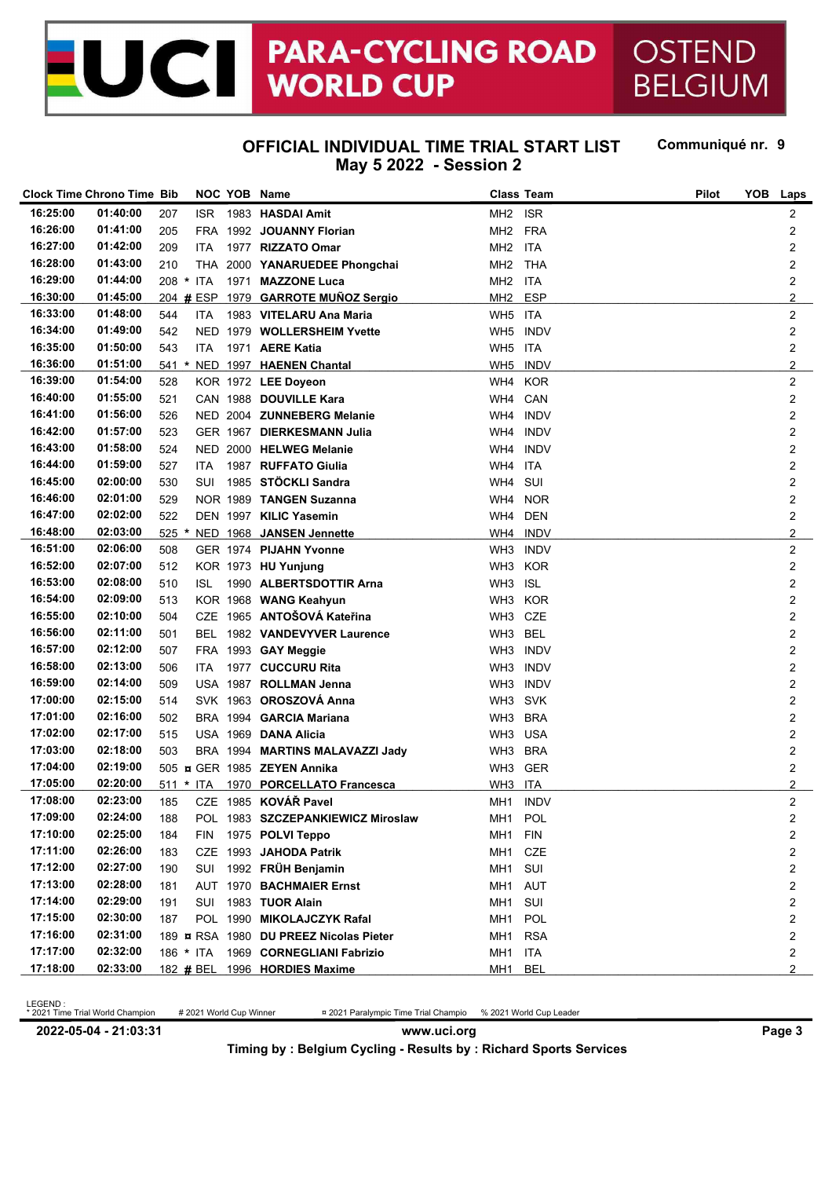#### **PARA-CYCLING ROAD** C **WORLD CUP**

OSTEND **BELGIUM** 

#### **OFFICIAL INDIVIDUAL TIME TRIAL START LIST May 5 2022 - Session 2**

Communiqué nr. 9

|                      | <b>Clock Time Chrono Time Bib</b> |         |            | NOC YOB Name                           | <b>Class Team</b>   |             | Pilot | <b>YOB</b><br>Laps |  |
|----------------------|-----------------------------------|---------|------------|----------------------------------------|---------------------|-------------|-------|--------------------|--|
| 16:25:00             | 01:40:00                          | 207     | ISR.       | 1983 HASDAI Amit                       | MH <sub>2</sub> ISR |             |       | 2                  |  |
| 16:26:00             | 01:41:00                          | 205     |            | FRA 1992 JOUANNY Florian               | MH <sub>2</sub>     | <b>FRA</b>  |       | 2                  |  |
| 16:27:00             | 01:42:00                          | 209     | ITA        | 1977 RIZZATO Omar                      | MH <sub>2</sub>     | ITA         |       | 2                  |  |
| 16:28:00             | 01:43:00                          | 210     |            | THA 2000 YANARUEDEE Phongchai          | MH <sub>2</sub>     | THA         |       | 2                  |  |
| 16:29:00             | 01:44:00                          |         | 208 * ITA  | 1971 MAZZONE Luca                      | MH <sub>2</sub>     | ITA         |       | 2                  |  |
| 16:30:00             | 01:45:00                          |         | 204 # ESP  | 1979 GARROTE MUÑOZ Sergio              | MH <sub>2</sub>     | <b>ESP</b>  |       | $\overline{a}$     |  |
| 16:33:00             | 01:48:00                          | 544     | <b>ITA</b> | 1983 VITELARU Ana Maria                | WH5 ITA             |             |       | 2                  |  |
| 16:34:00             | 01:49:00                          | 542     |            | NED 1979 WOLLERSHEIM Yvette            | WH <sub>5</sub>     | <b>INDV</b> |       | 2                  |  |
| 16:35:00             | 01:50:00                          | 543     | ITA.       | 1971 AERE Katia                        | WH5 ITA             |             |       | 2                  |  |
| 16:36:00             | 01:51:00                          |         |            | 541 * NED 1997 HAENEN Chantal          | WH <sub>5</sub>     | <b>INDV</b> |       | $\overline{a}$     |  |
| 16:39:00             | 01:54:00                          | 528     |            | KOR 1972 LEE Doyeon                    | WH4 KOR             |             |       | 2                  |  |
| 16:40:00             | 01:55:00                          | 521     |            | CAN 1988 DOUVILLE Kara                 | WH4                 | CAN         |       | 2                  |  |
| 16:41:00             | 01:56:00                          | 526     |            | NED 2004 ZUNNEBERG Melanie             | WH4                 | <b>INDV</b> |       | 2                  |  |
| 16:42:00             | 01:57:00                          | 523     |            | GER 1967 DIERKESMANN Julia             | WH4                 | <b>INDV</b> |       | 2                  |  |
| 16:43:00             | 01:58:00                          | 524     |            | NED 2000 HELWEG Melanie                | WH4                 | <b>INDV</b> |       | 2                  |  |
| 16:44:00             | 01:59:00                          | 527     | ITA        | 1987 RUFFATO Giulia                    | WH4                 | ITA         |       | 2                  |  |
| 16:45:00             | 02:00:00                          | 530     | SUI        | 1985 STÖCKLI Sandra                    | WH4                 | SUI         |       | 2                  |  |
| 16:46:00             | 02:01:00                          | 529     |            | NOR 1989 TANGEN Suzanna                | WH4                 | NOR         |       | 2                  |  |
| 16:47:00             | 02:02:00                          | 522     |            | DEN 1997 KILIC Yasemin                 | WH4                 | <b>DEN</b>  |       | 2                  |  |
| 16:48:00             | 02:03:00                          | $525 *$ |            | NED 1968 JANSEN Jennette               | WH4 INDV            |             |       | $\overline{a}$     |  |
| 16:51:00             | 02:06:00                          | 508     |            | GER 1974 PIJAHN Yvonne                 | WH <sub>3</sub>     | <b>INDV</b> |       | 2                  |  |
| 16:52:00             | 02:07:00                          | 512     |            | KOR 1973 HU Yunjung                    | WH3 KOR             |             |       | 2                  |  |
| 16:53:00             | 02:08:00                          | 510     | ISL        | 1990 ALBERTSDOTTIR Arna                | WH3 ISL             |             |       | 2                  |  |
| 16:54:00             | 02:09:00                          | 513     |            | KOR 1968 WANG Keahyun                  | WH3 KOR             |             |       | 2                  |  |
| 16:55:00             | 02:10:00                          | 504     |            | CZE 1965 ANTOŠOVÁ Kateřina             | WH3 CZE             |             |       | 2                  |  |
| 16:56:00             | 02:11:00                          | 501     |            | BEL 1982 VANDEVYVER Laurence           | WH3 BEL             |             |       | 2                  |  |
| 16:57:00             | 02:12:00                          | 507     |            | FRA 1993 GAY Meggie                    | WH3                 | <b>INDV</b> |       | 2                  |  |
| 16:58:00             | 02:13:00                          | 506     | ITA        | 1977 CUCCURU Rita                      | WH3 INDV            |             |       | 2                  |  |
| 16:59:00             | 02:14:00                          | 509     |            | USA 1987 ROLLMAN Jenna                 | WH <sub>3</sub>     | <b>INDV</b> |       | 2                  |  |
| 17:00:00             | 02:15:00                          | 514     |            | SVK 1963 OROSZOVÁ Anna                 | WH3 SVK             |             |       | 2                  |  |
| 17:01:00             | 02:16:00                          | 502     |            | BRA 1994 GARCIA Mariana                | WH3 BRA             |             |       | 2                  |  |
| 17:02:00             | 02:17:00                          | 515     |            | USA 1969 DANA Alicia                   | WH3 USA             |             |       | 2                  |  |
| 17:03:00             | 02:18:00                          | 503     |            | BRA 1994 MARTINS MALAVAZZI Jady        | WH3 BRA             |             |       | 2                  |  |
| 17:04:00             | 02:19:00                          |         |            | 505 g GER 1985 ZEYEN Annika            | WH3 GER             |             |       | 2                  |  |
| 17:05:00             | 02:20:00                          |         | 511 * ITA  | 1970 PORCELLATO Francesca              | WH3 ITA             |             |       | $\overline{2}$     |  |
| 17:08:00             | 02:23:00                          | 185     |            | CZE 1985 KOVÁŘ Pavel                   | MH1 INDV            |             |       | 2                  |  |
| 17:09:00             | 02:24:00                          | 188     |            | POL 1983 SZCZEPANKIEWICZ Miroslaw      | MH1 POL             |             |       | 2                  |  |
| 17:10:00             | 02:25:00                          | 184     |            | FIN 1975 POLVI Teppo                   | MH1 FIN             |             |       | 2                  |  |
| 17:11:00             | 02:26:00                          | 183     |            | CZE 1993 JAHODA Patrik                 | MH1 CZE             |             |       | 2                  |  |
| 17:12:00             | 02:27:00                          | 190     | SUI        | 1992 FRÜH Benjamin                     | MH1 SUI             |             |       | 2                  |  |
| 17:13:00             | 02:28:00                          | 181     |            | AUT 1970 BACHMAIER Ernst               | MH1 AUT             |             |       | 2                  |  |
| 17:14:00             | 02:29:00                          | 191     | SUI        | 1983 TUOR Alain                        | MH1 SUI             |             |       | 2                  |  |
| 17:15:00             | 02:30:00                          | 187     |            | POL 1990 MIKOLAJCZYK Rafal             | MH1 POL             |             |       | 2                  |  |
| 17:16:00<br>17:17:00 | 02:31:00                          |         |            | 189 ¤ RSA 1980 DU PREEZ Nicolas Pieter | MH1 RSA             |             |       | 2                  |  |
|                      | 02:32:00                          |         |            | 186 * ITA 1969 CORNEGLIANI Fabrizio    | MH1 ITA             |             |       | 2                  |  |
| 17:18:00             | 02:33:00                          |         |            | 182 # BEL 1996 HORDIES Maxime          | MH1 BEL             |             |       | $\overline{2}$     |  |

LEGEND :<br>\* 2021 Time Trial World Champion

\* 2021 Time Trial World Champion # 2021 World Cup Winner ¤ 2021 Paralympic Time Trial Champio % 2021 World Cup Leader

**2022-05-04 - 21:03:31 www.uci.org Page 3 Timing by : Belgium Cycling - Results by : Richard Sports Services**